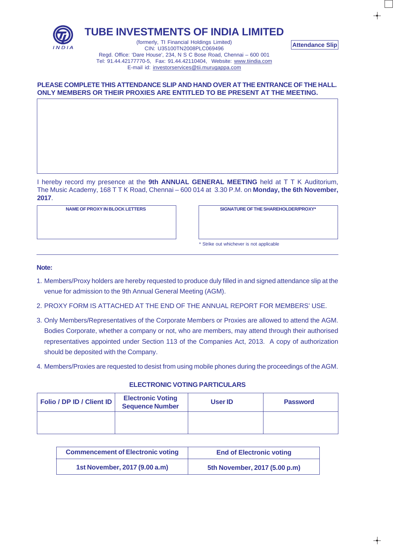

## **TUBE INVESTMENTS OF INDIA LIMITED**

(formerly, TI Financial Holdings Limited) CIN: U35100TN2008PLC069496 Regd. Office: 'Dare House', 234, N S C Bose Road, Chennai – 600 001 Tel: 91.44.42177770-5, Fax: 91.44.42110404, Website: www.tiindia.com E-mail id: investorservices@tii.murugappa.com

## **PLEASE COMPLETE THIS ATTENDANCE SLIP AND HAND OVER AT THE ENTRANCE OF THE HALL. ONLY MEMBERS OR THEIR PROXIES ARE ENTITLED TO BE PRESENT AT THE MEETING.**

I hereby record my presence at the **9th ANNUAL GENERAL MEETING** held at T T K Auditorium, The Music Academy, 168 T T K Road, Chennai – 600 014 at 3.30 P.M. on **Monday, the 6th November, 2017**.

**NAME OF PROXY IN BLOCK LETTERS SIGNATURE OF THE SHAREHOLDER/PROXY\***

**Attendance Slip**

\* Strike out whichever is not applicable

#### **Note:**

- 1. Members/Proxy holders are hereby requested to produce duly filled in and signed attendance slip at the venue for admission to the 9th Annual General Meeting (AGM).
- 2. PROXY FORM IS ATTACHED AT THE END OF THE ANNUAL REPORT FOR MEMBERS' USE.
- 3. Only Members/Representatives of the Corporate Members or Proxies are allowed to attend the AGM. Bodies Corporate, whether a company or not, who are members, may attend through their authorised representatives appointed under Section 113 of the Companies Act, 2013. A copy of authorization should be deposited with the Company.
- 4. Members/Proxies are requested to desist from using mobile phones during the proceedings of the AGM.

| Folio / DP ID / Client ID | <b>Electronic Voting</b><br><b>Sequence Number</b> | User ID | <b>Password</b> |
|---------------------------|----------------------------------------------------|---------|-----------------|
|                           |                                                    |         |                 |

### **ELECTRONIC VOTING PARTICULARS**

| <b>Commencement of Electronic voting</b> | <b>End of Electronic voting</b> |
|------------------------------------------|---------------------------------|
| 1st November, 2017 (9.00 a.m)            | 5th November, 2017 (5.00 p.m)   |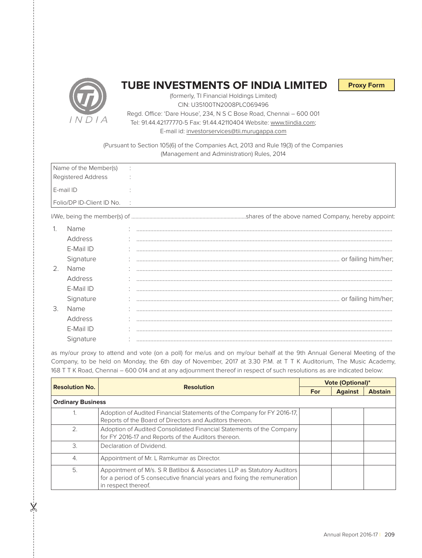

# **TUBE INVESTMENTS OF INDIA LIMITED**

**Proxy Form**

(formerly, TI Financial Holdings Limited) CIN: U35100TN2008PLC069496 Regd. Office: 'Dare House', 234, N S C Bose Road, Chennai – 600 001 Tel: 91.44.42177770-5 Fax: 91.44.42110404 Website: www.tiindia.com; E-mail id: investorservices@tii.murugappa.com

(Pursuant to Section 105(6) of the Companies Act, 2013 and Rule 19(3) of the Companies (Management and Administration) Rules, 2014

| Name of the Member(s)       | $\sim 10$ |
|-----------------------------|-----------|
| Registered Address          |           |
| l E-mail ID                 |           |
| Folio/DP ID-Client ID No. : |           |

I/We, being the member(s) of ……………………………………………………................…...shares of the above named Company, hereby appoint:

 $\pmb{\times}$ 

|    | Name      |  |
|----|-----------|--|
|    | Address   |  |
|    | E-Mail ID |  |
|    | Signature |  |
| 2. | Name      |  |
|    | Address   |  |
|    | E-Mail ID |  |
|    | Signature |  |
| 3. | Name      |  |
|    | Address   |  |
|    | E-Mail ID |  |
|    | Signature |  |

as my/our proxy to attend and vote (on a poll) for me/us and on my/our behalf at the 9th Annual General Meeting of the Company, to be held on Monday, the 6th day of November, 2017 at 3.30 P.M. at T T K Auditorium, The Music Academy, 168 T T K Road, Chennai – 600 014 and at any adjournment thereof in respect of such resolutions as are indicated below:

| <b>Resolution No.</b>    | <b>Resolution</b>                                                                                                                                                           | <b>Vote (Optional)*</b> |                |                |  |
|--------------------------|-----------------------------------------------------------------------------------------------------------------------------------------------------------------------------|-------------------------|----------------|----------------|--|
|                          |                                                                                                                                                                             |                         | <b>Against</b> | <b>Abstain</b> |  |
| <b>Ordinary Business</b> |                                                                                                                                                                             |                         |                |                |  |
|                          | Adoption of Audited Financial Statements of the Company for FY 2016-17.<br>Reports of the Board of Directors and Auditors thereon.                                          |                         |                |                |  |
| 2.                       | Adoption of Audited Consolidated Financial Statements of the Company<br>for FY 2016-17 and Reports of the Auditors thereon.                                                 |                         |                |                |  |
| 3.                       | Declaration of Dividend.                                                                                                                                                    |                         |                |                |  |
| $\overline{4}$ .         | Appointment of Mr. L Ramkumar as Director.                                                                                                                                  |                         |                |                |  |
| 5.                       | Appointment of M/s. S R Batliboi & Associates LLP as Statutory Auditors<br>for a period of 5 consecutive financial years and fixing the remuneration<br>in respect thereof. |                         |                |                |  |